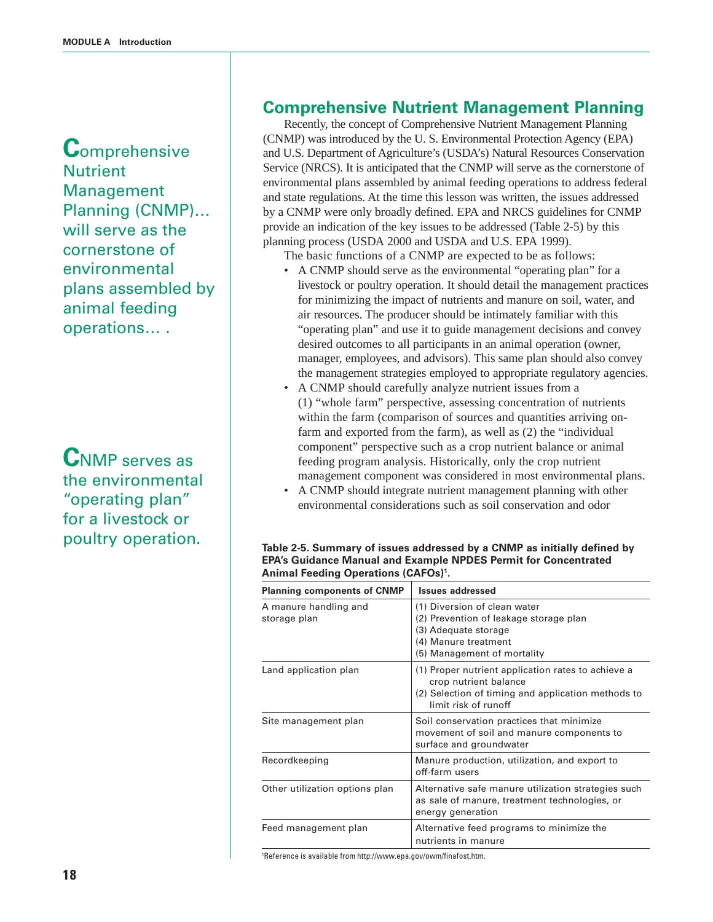**C**omprehensive **Nutrient** Management Planning (CNMP)… will serve as the cornerstone of environmental plans assembled by animal feeding operations… .

**C**NMP serves as the environmental "operating plan" for a livestock or poultry operation.

## **Comprehensive Nutrient Management Planning**

Recently, the concept of Comprehensive Nutrient Management Planning (CNMP) was introduced by the U. S. Environmental Protection Agency (EPA) and U.S. Department of Agriculture's (USDA's) Natural Resources Conservation Service (NRCS). It is anticipated that the CNMP will serve as the cornerstone of environmental plans assembled by animal feeding operations to address federal and state regulations. At the time this lesson was written, the issues addressed by a CNMP were only broadly defined. EPA and NRCS guidelines for CNMP provide an indication of the key issues to be addressed (Table 2-5) by this planning process (USDA 2000 and USDA and U.S. EPA 1999).

The basic functions of a CNMP are expected to be as follows:

- A CNMP should serve as the environmental "operating plan" for a livestock or poultry operation. It should detail the management practices for minimizing the impact of nutrients and manure on soil, water, and air resources. The producer should be intimately familiar with this "operating plan" and use it to guide management decisions and convey desired outcomes to all participants in an animal operation (owner, manager, employees, and advisors). This same plan should also convey the management strategies employed to appropriate regulatory agencies.
- A CNMP should carefully analyze nutrient issues from a (1) "whole farm" perspective, assessing concentration of nutrients within the farm (comparison of sources and quantities arriving onfarm and exported from the farm), as well as (2) the "individual component" perspective such as a crop nutrient balance or animal feeding program analysis. Historically, only the crop nutrient management component was considered in most environmental plans.
- A CNMP should integrate nutrient management planning with other environmental considerations such as soil conservation and odor

| <b>Planning components of CNMP</b>    | <b>Issues addressed</b>                                                                                                                                   |
|---------------------------------------|-----------------------------------------------------------------------------------------------------------------------------------------------------------|
| A manure handling and<br>storage plan | (1) Diversion of clean water<br>(2) Prevention of leakage storage plan<br>(3) Adequate storage<br>(4) Manure treatment<br>(5) Management of mortality     |
| Land application plan                 | (1) Proper nutrient application rates to achieve a<br>crop nutrient balance<br>(2) Selection of timing and application methods to<br>limit risk of runoff |
| Site management plan                  | Soil conservation practices that minimize<br>movement of soil and manure components to<br>surface and groundwater                                         |
| Recordkeeping                         | Manure production, utilization, and export to<br>off-farm users                                                                                           |
| Other utilization options plan        | Alternative safe manure utilization strategies such<br>as sale of manure, treatment technologies, or<br>energy generation                                 |
| Feed management plan                  | Alternative feed programs to minimize the<br>nutrients in manure                                                                                          |

## **Table 2-5. Summary of issues addressed by a CNMP as initially defined by EPA's Guidance Manual and Example NPDES Permit for Concentrated Animal Feeding Operations (CAFOs)1.**

1 Reference is available from http://www.epa.gov/owm/finafost.htm.